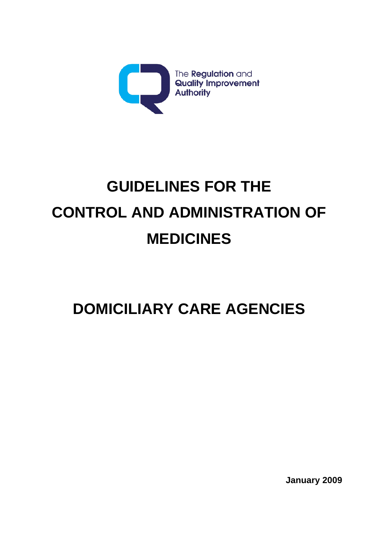

# **GUIDELINES FOR THE CONTROL AND ADMINISTRATION OF MEDICINES**

## **DOMICILIARY CARE AGENCIES**

**January 2009**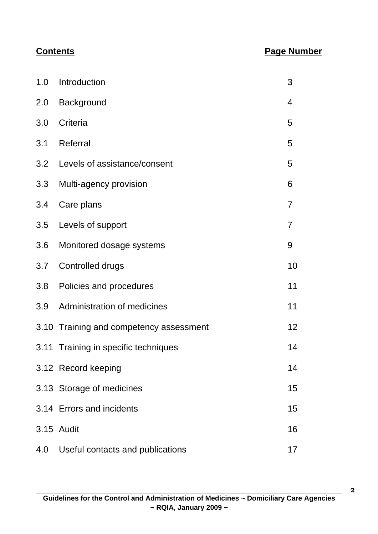#### **Contents Page Number**

| 1.0 | Introduction                            | 3              |
|-----|-----------------------------------------|----------------|
|     | 2.0 Background                          | 4              |
| 3.0 | Criteria                                | 5              |
|     | 3.1 Referral                            | 5              |
|     | 3.2 Levels of assistance/consent        | 5              |
| 3.3 | Multi-agency provision                  | 6              |
| 3.4 | Care plans                              | $\overline{7}$ |
|     | 3.5 Levels of support                   | 7              |
|     | 3.6 Monitored dosage systems            | 9              |
| 3.7 | Controlled drugs                        | 10             |
| 3.8 | Policies and procedures                 | 11             |
| 3.9 | <b>Administration of medicines</b>      | 11             |
|     | 3.10 Training and competency assessment | 12             |
|     | 3.11 Training in specific techniques    | 14             |
|     | 3.12 Record keeping                     | 14             |
|     | 3.13 Storage of medicines               | 15             |
|     | 3.14 Errors and incidents               | 15             |
|     | 3.15 Audit                              | 16             |
| 4.0 | Useful contacts and publications        | 17             |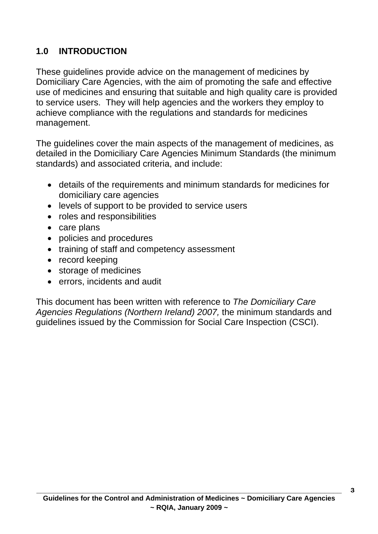#### **1.0 INTRODUCTION**

These guidelines provide advice on the management of medicines by Domiciliary Care Agencies, with the aim of promoting the safe and effective use of medicines and ensuring that suitable and high quality care is provided to service users. They will help agencies and the workers they employ to achieve compliance with the regulations and standards for medicines management.

The guidelines cover the main aspects of the management of medicines, as detailed in the Domiciliary Care Agencies Minimum Standards (the minimum standards) and associated criteria, and include:

- details of the requirements and minimum standards for medicines for domiciliary care agencies
- levels of support to be provided to service users
- roles and responsibilities
- care plans
- policies and procedures
- training of staff and competency assessment
- record keeping
- storage of medicines
- errors, incidents and audit

This document has been written with reference to *The Domiciliary Care Agencies Regulations (Northern Ireland) 2007,* the minimum standards and guidelines issued by the Commission for Social Care Inspection (CSCI).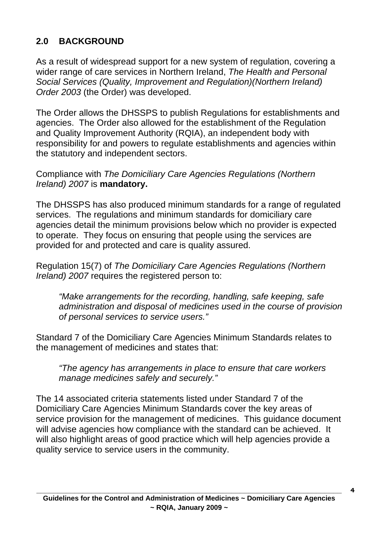#### **2.0 BACKGROUND**

As a result of widespread support for a new system of regulation, covering a wider range of care services in Northern Ireland, *The Health and Personal Social Services (Quality, Improvement and Regulation)(Northern Ireland) Order 2003* (the Order) was developed.

The Order allows the DHSSPS to publish Regulations for establishments and agencies. The Order also allowed for the establishment of the Regulation and Quality Improvement Authority (RQIA), an independent body with responsibility for and powers to regulate establishments and agencies within the statutory and independent sectors.

Compliance with *The Domiciliary Care Agencies Regulations (Northern Ireland) 2007* is **mandatory.** 

The DHSSPS has also produced minimum standards for a range of regulated services. The regulations and minimum standards for domiciliary care agencies detail the minimum provisions below which no provider is expected to operate. They focus on ensuring that people using the services are provided for and protected and care is quality assured.

Regulation 15(7) of *The Domiciliary Care Agencies Regulations (Northern Ireland) 2007* requires the registered person to:

*"Make arrangements for the recording, handling, safe keeping, safe administration and disposal of medicines used in the course of provision of personal services to service users."* 

Standard 7 of the Domiciliary Care Agencies Minimum Standards relates to the management of medicines and states that:

*"The agency has arrangements in place to ensure that care workers manage medicines safely and securely."* 

The 14 associated criteria statements listed under Standard 7 of the Domiciliary Care Agencies Minimum Standards cover the key areas of service provision for the management of medicines. This guidance document will advise agencies how compliance with the standard can be achieved. It will also highlight areas of good practice which will help agencies provide a quality service to service users in the community.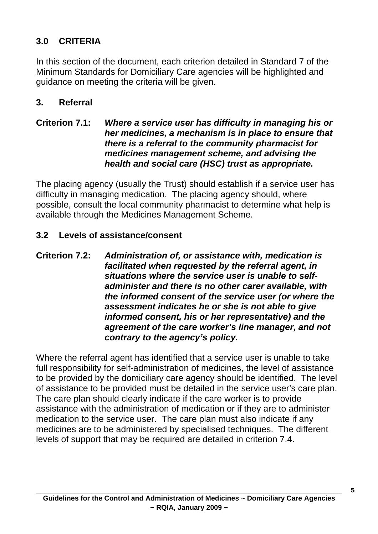#### **3.0 CRITERIA**

In this section of the document, each criterion detailed in Standard 7 of the Minimum Standards for Domiciliary Care agencies will be highlighted and guidance on meeting the criteria will be given.

#### **3. Referral**

#### **Criterion 7.1:** *Where a service user has difficulty in managing his or her medicines, a mechanism is in place to ensure that there is a referral to the community pharmacist for medicines management scheme, and advising the health and social care (HSC) trust as appropriate.*

The placing agency (usually the Trust) should establish if a service user has difficulty in managing medication. The placing agency should, where possible, consult the local community pharmacist to determine what help is available through the Medicines Management Scheme.

#### **3.2 Levels of assistance/consent**

#### **Criterion 7.2:** *Administration of, or assistance with, medication is facilitated when requested by the referral agent, in situations where the service user is unable to selfadminister and there is no other carer available, with the informed consent of the service user (or where the assessment indicates he or she is not able to give informed consent, his or her representative) and the agreement of the care worker's line manager, and not contrary to the agency's policy.*

Where the referral agent has identified that a service user is unable to take full responsibility for self-administration of medicines, the level of assistance to be provided by the domiciliary care agency should be identified. The level of assistance to be provided must be detailed in the service user's care plan. The care plan should clearly indicate if the care worker is to provide assistance with the administration of medication or if they are to administer medication to the service user. The care plan must also indicate if any medicines are to be administered by specialised techniques. The different levels of support that may be required are detailed in criterion 7.4.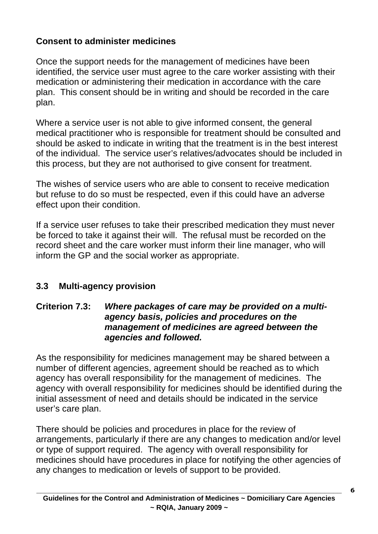#### **Consent to administer medicines**

Once the support needs for the management of medicines have been identified, the service user must agree to the care worker assisting with their medication or administering their medication in accordance with the care plan. This consent should be in writing and should be recorded in the care plan.

Where a service user is not able to give informed consent, the general medical practitioner who is responsible for treatment should be consulted and should be asked to indicate in writing that the treatment is in the best interest of the individual. The service user's relatives/advocates should be included in this process, but they are not authorised to give consent for treatment.

The wishes of service users who are able to consent to receive medication but refuse to do so must be respected, even if this could have an adverse effect upon their condition.

If a service user refuses to take their prescribed medication they must never be forced to take it against their will. The refusal must be recorded on the record sheet and the care worker must inform their line manager, who will inform the GP and the social worker as appropriate.

### **3.3 Multi-agency provision**

#### **Criterion 7.3:** *Where packages of care may be provided on a multiagency basis, policies and procedures on the management of medicines are agreed between the agencies and followed.*

As the responsibility for medicines management may be shared between a number of different agencies, agreement should be reached as to which agency has overall responsibility for the management of medicines. The agency with overall responsibility for medicines should be identified during the initial assessment of need and details should be indicated in the service user's care plan.

There should be policies and procedures in place for the review of arrangements, particularly if there are any changes to medication and/or level or type of support required. The agency with overall responsibility for medicines should have procedures in place for notifying the other agencies of any changes to medication or levels of support to be provided.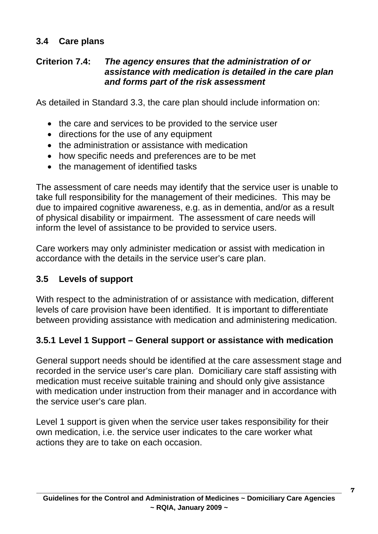#### **3.4 Care plans**

#### **Criterion 7.4:** *The agency ensures that the administration of or assistance with medication is detailed in the care plan and forms part of the risk assessment*

As detailed in Standard 3.3, the care plan should include information on:

- the care and services to be provided to the service user
- directions for the use of any equipment
- the administration or assistance with medication
- how specific needs and preferences are to be met
- the management of identified tasks

The assessment of care needs may identify that the service user is unable to take full responsibility for the management of their medicines. This may be due to impaired cognitive awareness, e.g. as in dementia, and/or as a result of physical disability or impairment. The assessment of care needs will inform the level of assistance to be provided to service users.

Care workers may only administer medication or assist with medication in accordance with the details in the service user's care plan.

#### **3.5 Levels of support**

With respect to the administration of or assistance with medication, different levels of care provision have been identified. It is important to differentiate between providing assistance with medication and administering medication.

#### **3.5.1 Level 1 Support – General support or assistance with medication**

General support needs should be identified at the care assessment stage and recorded in the service user's care plan. Domiciliary care staff assisting with medication must receive suitable training and should only give assistance with medication under instruction from their manager and in accordance with the service user's care plan.

Level 1 support is given when the service user takes responsibility for their own medication, i.e. the service user indicates to the care worker what actions they are to take on each occasion.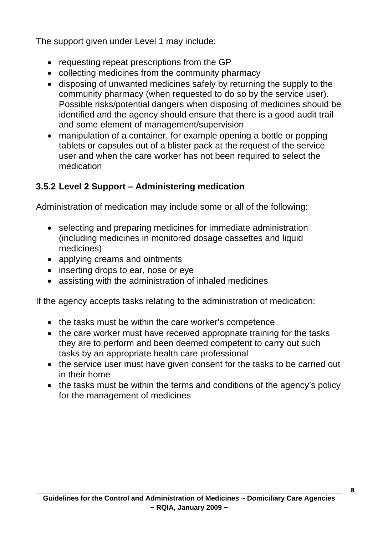The support given under Level 1 may include:

- requesting repeat prescriptions from the GP
- collecting medicines from the community pharmacy
- disposing of unwanted medicines safely by returning the supply to the community pharmacy (when requested to do so by the service user). Possible risks/potential dangers when disposing of medicines should be identified and the agency should ensure that there is a good audit trail and some element of management/supervision
- manipulation of a container, for example opening a bottle or popping tablets or capsules out of a blister pack at the request of the service user and when the care worker has not been required to select the medication

#### **3.5.2 Level 2 Support – Administering medication**

Administration of medication may include some or all of the following:

- selecting and preparing medicines for immediate administration (including medicines in monitored dosage cassettes and liquid medicines)
- applying creams and ointments
- inserting drops to ear, nose or eve
- assisting with the administration of inhaled medicines

If the agency accepts tasks relating to the administration of medication:

- the tasks must be within the care worker's competence
- the care worker must have received appropriate training for the tasks they are to perform and been deemed competent to carry out such tasks by an appropriate health care professional
- the service user must have given consent for the tasks to be carried out in their home
- the tasks must be within the terms and conditions of the agency's policy for the management of medicines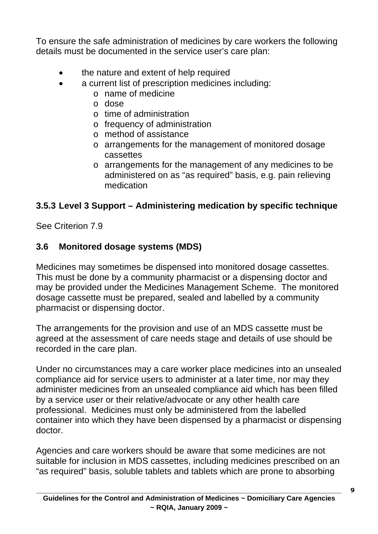To ensure the safe administration of medicines by care workers the following details must be documented in the service user's care plan:

- the nature and extent of help required
- a current list of prescription medicines including:
	- o name of medicine
	- o dose
	- o time of administration
	- o frequency of administration
	- o method of assistance
	- o arrangements for the management of monitored dosage cassettes
	- o arrangements for the management of any medicines to be administered on as "as required" basis, e.g. pain relieving medication

#### **3.5.3 Level 3 Support – Administering medication by specific technique**

See Criterion 7.9

#### **3.6 Monitored dosage systems (MDS)**

Medicines may sometimes be dispensed into monitored dosage cassettes. This must be done by a community pharmacist or a dispensing doctor and may be provided under the Medicines Management Scheme. The monitored dosage cassette must be prepared, sealed and labelled by a community pharmacist or dispensing doctor.

The arrangements for the provision and use of an MDS cassette must be agreed at the assessment of care needs stage and details of use should be recorded in the care plan.

Under no circumstances may a care worker place medicines into an unsealed compliance aid for service users to administer at a later time, nor may they administer medicines from an unsealed compliance aid which has been filled by a service user or their relative/advocate or any other health care professional. Medicines must only be administered from the labelled container into which they have been dispensed by a pharmacist or dispensing doctor.

Agencies and care workers should be aware that some medicines are not suitable for inclusion in MDS cassettes, including medicines prescribed on an "as required" basis, soluble tablets and tablets which are prone to absorbing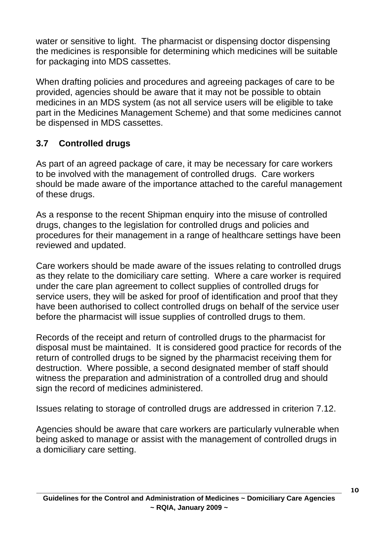water or sensitive to light. The pharmacist or dispensing doctor dispensing the medicines is responsible for determining which medicines will be suitable for packaging into MDS cassettes.

When drafting policies and procedures and agreeing packages of care to be provided, agencies should be aware that it may not be possible to obtain medicines in an MDS system (as not all service users will be eligible to take part in the Medicines Management Scheme) and that some medicines cannot be dispensed in MDS cassettes.

### **3.7 Controlled drugs**

As part of an agreed package of care, it may be necessary for care workers to be involved with the management of controlled drugs. Care workers should be made aware of the importance attached to the careful management of these drugs.

As a response to the recent Shipman enquiry into the misuse of controlled drugs, changes to the legislation for controlled drugs and policies and procedures for their management in a range of healthcare settings have been reviewed and updated.

Care workers should be made aware of the issues relating to controlled drugs as they relate to the domiciliary care setting. Where a care worker is required under the care plan agreement to collect supplies of controlled drugs for service users, they will be asked for proof of identification and proof that they have been authorised to collect controlled drugs on behalf of the service user before the pharmacist will issue supplies of controlled drugs to them.

Records of the receipt and return of controlled drugs to the pharmacist for disposal must be maintained. It is considered good practice for records of the return of controlled drugs to be signed by the pharmacist receiving them for destruction. Where possible, a second designated member of staff should witness the preparation and administration of a controlled drug and should sign the record of medicines administered.

Issues relating to storage of controlled drugs are addressed in criterion 7.12.

Agencies should be aware that care workers are particularly vulnerable when being asked to manage or assist with the management of controlled drugs in a domiciliary care setting.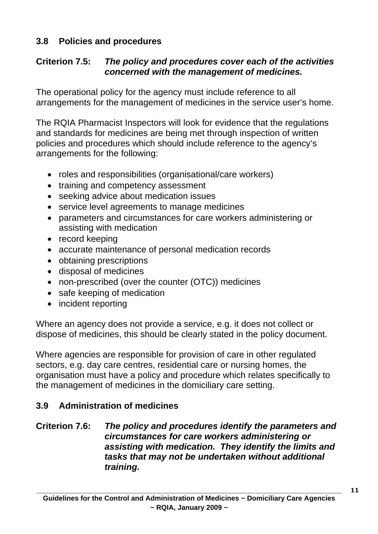#### **3.8 Policies and procedures**

#### **Criterion 7.5:** *The policy and procedures cover each of the activities concerned with the management of medicines.*

The operational policy for the agency must include reference to all arrangements for the management of medicines in the service user's home.

The RQIA Pharmacist Inspectors will look for evidence that the regulations and standards for medicines are being met through inspection of written policies and procedures which should include reference to the agency's arrangements for the following:

- roles and responsibilities (organisational/care workers)
- training and competency assessment
- seeking advice about medication issues
- service level agreements to manage medicines
- parameters and circumstances for care workers administering or assisting with medication
- record keeping
- accurate maintenance of personal medication records
- obtaining prescriptions
- disposal of medicines
- non-prescribed (over the counter (OTC)) medicines
- safe keeping of medication
- incident reporting

Where an agency does not provide a service, e.g. it does not collect or dispose of medicines, this should be clearly stated in the policy document.

Where agencies are responsible for provision of care in other regulated sectors, e.g. day care centres, residential care or nursing homes, the organisation must have a policy and procedure which relates specifically to the management of medicines in the domiciliary care setting.

#### **3.9 Administration of medicines**

#### **Criterion 7.6:** *The policy and procedures identify the parameters and circumstances for care workers administering or assisting with medication. They identify the limits and tasks that may not be undertaken without additional training.*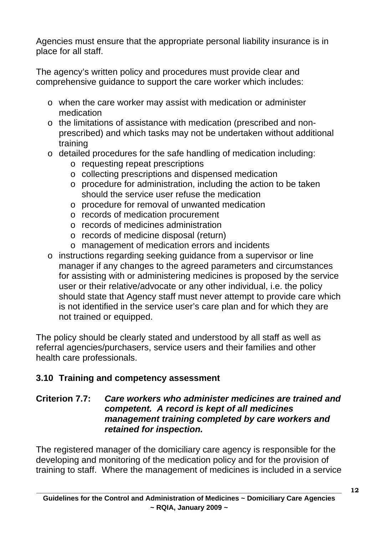Agencies must ensure that the appropriate personal liability insurance is in place for all staff.

The agency's written policy and procedures must provide clear and comprehensive guidance to support the care worker which includes:

- o when the care worker may assist with medication or administer medication
- o the limitations of assistance with medication (prescribed and nonprescribed) and which tasks may not be undertaken without additional training
- o detailed procedures for the safe handling of medication including:
	- o requesting repeat prescriptions
	- o collecting prescriptions and dispensed medication
	- o procedure for administration, including the action to be taken should the service user refuse the medication
	- o procedure for removal of unwanted medication
	- o records of medication procurement
	- o records of medicines administration
	- o records of medicine disposal (return)
	- o management of medication errors and incidents
- o instructions regarding seeking guidance from a supervisor or line manager if any changes to the agreed parameters and circumstances for assisting with or administering medicines is proposed by the service user or their relative/advocate or any other individual, i.e. the policy should state that Agency staff must never attempt to provide care which is not identified in the service user's care plan and for which they are not trained or equipped.

The policy should be clearly stated and understood by all staff as well as referral agencies/purchasers, service users and their families and other health care professionals.

#### **3.10 Training and competency assessment**

#### **Criterion 7.7:** *Care workers who administer medicines are trained and competent. A record is kept of all medicines management training completed by care workers and retained for inspection.*

The registered manager of the domiciliary care agency is responsible for the developing and monitoring of the medication policy and for the provision of training to staff. Where the management of medicines is included in a service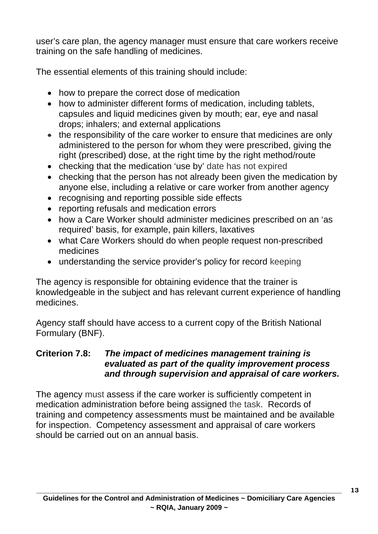user's care plan, the agency manager must ensure that care workers receive training on the safe handling of medicines.

The essential elements of this training should include:

- how to prepare the correct dose of medication
- how to administer different forms of medication, including tablets, capsules and liquid medicines given by mouth; ear, eye and nasal drops; inhalers; and external applications
- the responsibility of the care worker to ensure that medicines are only administered to the person for whom they were prescribed, giving the right (prescribed) dose, at the right time by the right method/route
- checking that the medication 'use by' date has not expired
- checking that the person has not already been given the medication by anyone else, including a relative or care worker from another agency
- recognising and reporting possible side effects
- reporting refusals and medication errors
- how a Care Worker should administer medicines prescribed on an 'as required' basis, for example, pain killers, laxatives
- what Care Workers should do when people request non-prescribed medicines
- understanding the service provider's policy for record keeping

The agency is responsible for obtaining evidence that the trainer is knowledgeable in the subject and has relevant current experience of handling medicines.

Agency staff should have access to a current copy of the British National Formulary (BNF).

#### **Criterion 7.8:** *The impact of medicines management training is evaluated as part of the quality improvement process and through supervision and appraisal of care workers.*

The agency must assess if the care worker is sufficiently competent in medication administration before being assigned the task. Records of training and competency assessments must be maintained and be available for inspection. Competency assessment and appraisal of care workers should be carried out on an annual basis.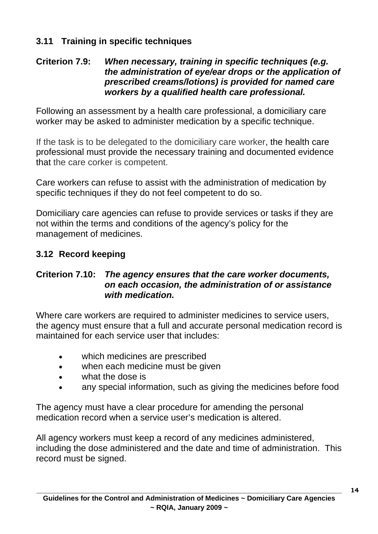#### **3.11 Training in specific techniques**

#### **Criterion 7.9:** *When necessary, training in specific techniques (e.g. the administration of eye/ear drops or the application of prescribed creams/lotions) is provided for named care workers by a qualified health care professional.*

Following an assessment by a health care professional, a domiciliary care worker may be asked to administer medication by a specific technique.

If the task is to be delegated to the domiciliary care worker, the health care professional must provide the necessary training and documented evidence that the care corker is competent.

Care workers can refuse to assist with the administration of medication by specific techniques if they do not feel competent to do so.

Domiciliary care agencies can refuse to provide services or tasks if they are not within the terms and conditions of the agency's policy for the management of medicines.

#### **3.12 Record keeping**

#### **Criterion 7.10:** *The agency ensures that the care worker documents, on each occasion, the administration of or assistance with medication.*

Where care workers are required to administer medicines to service users, the agency must ensure that a full and accurate personal medication record is maintained for each service user that includes:

- which medicines are prescribed
- when each medicine must be given
- what the dose is
- any special information, such as giving the medicines before food

The agency must have a clear procedure for amending the personal medication record when a service user's medication is altered.

All agency workers must keep a record of any medicines administered, including the dose administered and the date and time of administration. This record must be signed.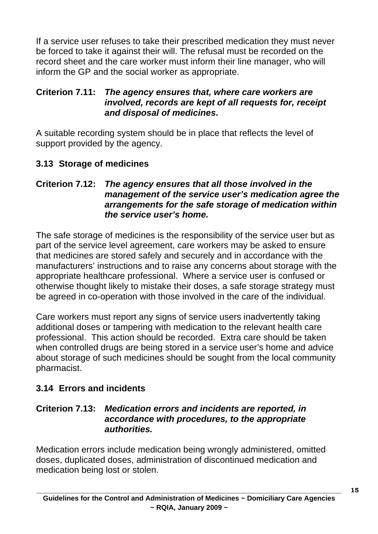If a service user refuses to take their prescribed medication they must never be forced to take it against their will. The refusal must be recorded on the record sheet and the care worker must inform their line manager, who will inform the GP and the social worker as appropriate.

#### **Criterion 7.11:** *The agency ensures that, where care workers are involved, records are kept of all requests for, receipt and disposal of medicines***.**

A suitable recording system should be in place that reflects the level of support provided by the agency.

#### **3.13 Storage of medicines**

#### **Criterion 7.12:** *The agency ensures that all those involved in the management of the service user's medication agree the arrangements for the safe storage of medication within the service user's home.*

The safe storage of medicines is the responsibility of the service user but as part of the service level agreement, care workers may be asked to ensure that medicines are stored safely and securely and in accordance with the manufacturers' instructions and to raise any concerns about storage with the appropriate healthcare professional. Where a service user is confused or otherwise thought likely to mistake their doses, a safe storage strategy must be agreed in co-operation with those involved in the care of the individual.

Care workers must report any signs of service users inadvertently taking additional doses or tampering with medication to the relevant health care professional. This action should be recorded. Extra care should be taken when controlled drugs are being stored in a service user's home and advice about storage of such medicines should be sought from the local community pharmacist.

#### **3.14 Errors and incidents**

#### **Criterion 7.13:** *Medication errors and incidents are reported, in accordance with procedures, to the appropriate authorities.*

Medication errors include medication being wrongly administered, omitted doses, duplicated doses, administration of discontinued medication and medication being lost or stolen.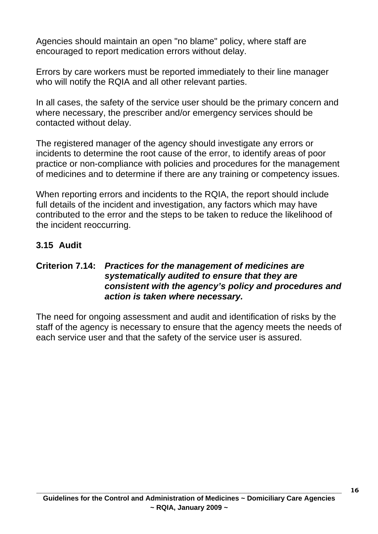Agencies should maintain an open "no blame" policy, where staff are encouraged to report medication errors without delay.

Errors by care workers must be reported immediately to their line manager who will notify the RQIA and all other relevant parties.

In all cases, the safety of the service user should be the primary concern and where necessary, the prescriber and/or emergency services should be contacted without delay.

The registered manager of the agency should investigate any errors or incidents to determine the root cause of the error, to identify areas of poor practice or non-compliance with policies and procedures for the management of medicines and to determine if there are any training or competency issues.

When reporting errors and incidents to the RQIA, the report should include full details of the incident and investigation, any factors which may have contributed to the error and the steps to be taken to reduce the likelihood of the incident reoccurring.

#### **3.15 Audit**

#### **Criterion 7.14:** *Practices for the management of medicines are systematically audited to ensure that they are consistent with the agency's policy and procedures and action is taken where necessary.*

The need for ongoing assessment and audit and identification of risks by the staff of the agency is necessary to ensure that the agency meets the needs of each service user and that the safety of the service user is assured.